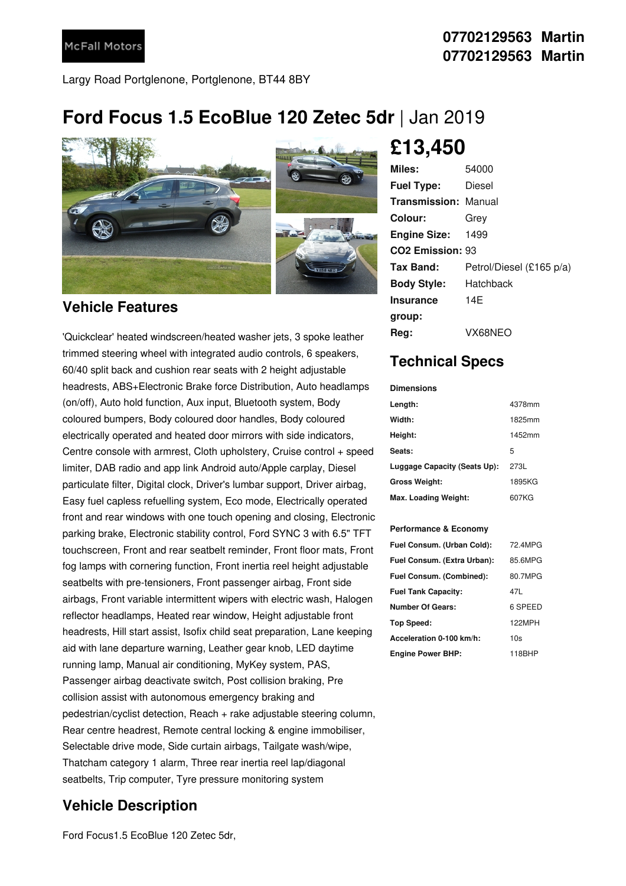Largy Road Portglenone, Portglenone, BT44 8BY

## **Ford Focus 1.5 EcoBlue 120 Zetec 5dr** |Jan 2019



### **Vehicle Features**

'Quickclear' heated windscreen/heated washer jets, 3 spoke leather trimmed steering wheel with integrated audio controls, 6 speakers, 60/40 split back and cushion rear seats with 2 height adjustable headrests, ABS+Electronic Brake force Distribution, Auto headlamps (on/off), Auto hold function, Aux input, Bluetooth system, Body coloured bumpers, Body coloured door handles, Body coloured electrically operated and heated door mirrors with side indicators, Centre console with armrest, Cloth upholstery, Cruise control + speed limiter, DAB radio and app link Android auto/Apple carplay, Diesel particulate filter, Digital clock, Driver's lumbar support, Driver airbag, Easy fuel capless refuelling system, Eco mode, Electrically operated front and rear windows with one touch opening and closing, Electronic parking brake, Electronic stability control, Ford SYNC 3 with 6.5" TFT touchscreen, Front and rear seatbelt reminder, Front floor mats, Front fog lamps with cornering function, Front inertia reel height adjustable seatbelts with pre-tensioners, Front passenger airbag, Front side airbags, Front variable intermittent wipers with electric wash, Halogen reflector headlamps, Heated rear window, Height adjustable front headrests, Hill start assist, Isofix child seat preparation, Lane keeping aid with lane departure warning, Leather gear knob, LED daytime running lamp, Manual air conditioning, MyKey system, PAS, Passenger airbag deactivate switch, Post collision braking, Pre collision assist with autonomous emergency braking and pedestrian/cyclist detection, Reach + rake adjustable steering column, Rear centre headrest, Remote central locking & engine immobiliser, Selectable drive mode, Side curtain airbags, Tailgate wash/wipe, Thatcham category 1 alarm, Three rear inertia reel lap/diagonal seatbelts, Trip computer, Tyre pressure monitoring system

## **Vehicle Description**

Ford Focus1.5 EcoBlue 120 Zetec 5dr,



# **£13,450**

| Miles:                       | 54000                    |
|------------------------------|--------------------------|
| <b>Fuel Type:</b>            | Diesel                   |
| <b>Transmission: Manual</b>  |                          |
| Colour:                      | Grev                     |
| <b>Engine Size:</b>          | 1499                     |
| CO <sub>2</sub> Emission: 93 |                          |
| Tax Band:                    | Petrol/Diesel (£165 p/a) |
| <b>Body Style:</b>           | Hatchback                |
| <b>Insurance</b>             | 14F                      |
| group:                       |                          |
| Reg:                         | VX68NEO                  |

## **Technical Specs**

#### **Dimensions**

| Length:                      | 4378mm |
|------------------------------|--------|
| Width:                       | 1825mm |
| Height:                      | 1452mm |
| Seats:                       | 5      |
| Luggage Capacity (Seats Up): | 273L   |
| <b>Gross Weight:</b>         | 1895KG |
| Max. Loading Weight:         | 607KG  |

### **Performance & Economy**

| Fuel Consum. (Urban Cold):  | 72 4MPG |
|-----------------------------|---------|
| Fuel Consum. (Extra Urban): | 85.6MPG |
| Fuel Consum. (Combined):    | 80.7MPG |
| <b>Fuel Tank Capacity:</b>  | 47L     |
| Number Of Gears:            | 6 SPEED |
| Top Speed:                  | 122MPH  |
| Acceleration 0-100 km/h:    | 10s     |
| <b>Engine Power BHP:</b>    | 118BHP  |